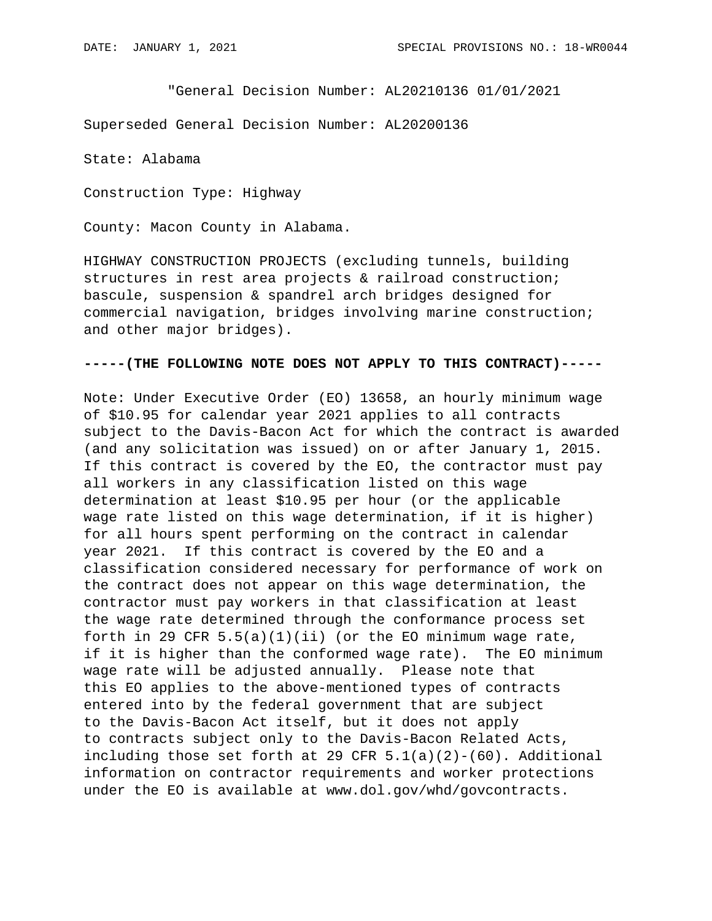"General Decision Number: AL20210136 01/01/2021

Superseded General Decision Number: AL20200136

State: Alabama

Construction Type: Highway

County: Macon County in Alabama.

HIGHWAY CONSTRUCTION PROJECTS (excluding tunnels, building structures in rest area projects & railroad construction; bascule, suspension & spandrel arch bridges designed for commercial navigation, bridges involving marine construction; and other major bridges).

## **-----(THE FOLLOWING NOTE DOES NOT APPLY TO THIS CONTRACT)-----**

Note: Under Executive Order (EO) 13658, an hourly minimum wage of \$10.95 for calendar year 2021 applies to all contracts subject to the Davis-Bacon Act for which the contract is awarded (and any solicitation was issued) on or after January 1, 2015. If this contract is covered by the EO, the contractor must pay all workers in any classification listed on this wage determination at least \$10.95 per hour (or the applicable wage rate listed on this wage determination, if it is higher) for all hours spent performing on the contract in calendar year 2021. If this contract is covered by the EO and a classification considered necessary for performance of work on the contract does not appear on this wage determination, the contractor must pay workers in that classification at least the wage rate determined through the conformance process set forth in 29 CFR  $5.5(a)(1)(ii)$  (or the EO minimum wage rate, if it is higher than the conformed wage rate). The EO minimum wage rate will be adjusted annually. Please note that this EO applies to the above-mentioned types of contracts entered into by the federal government that are subject to the Davis-Bacon Act itself, but it does not apply to contracts subject only to the Davis-Bacon Related Acts, including those set forth at 29 CFR  $5.1(a)(2)-(60)$ . Additional information on contractor requirements and worker protections under the EO is available at www.dol.gov/whd/govcontracts.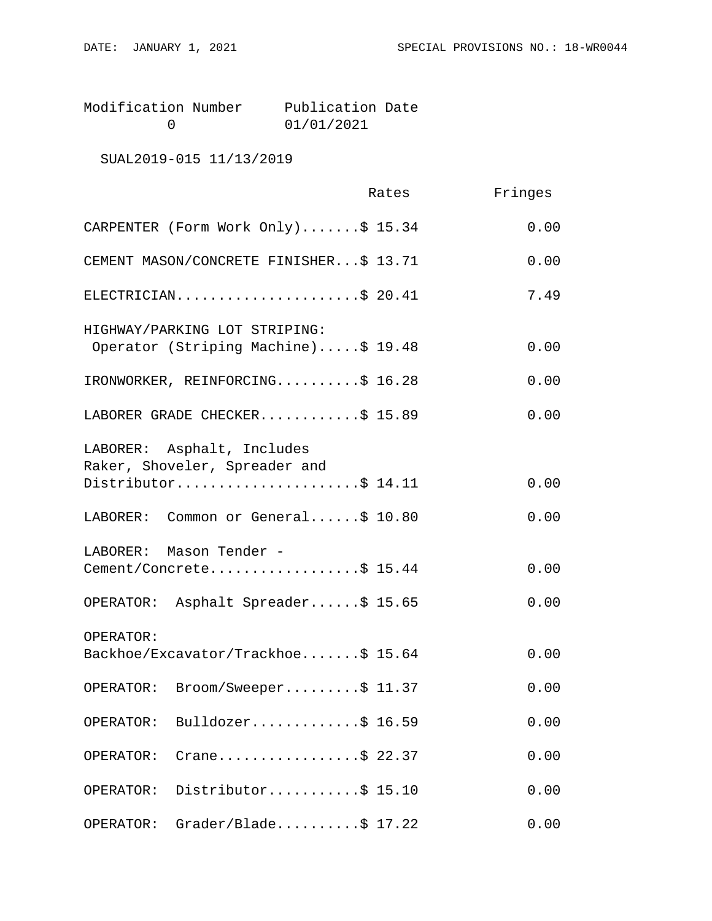| Modification Number | Publication Date |  |
|---------------------|------------------|--|
|                     | 01/01/2021       |  |

SUAL2019-015 11/13/2019

|                                                                                    | Rates | Fringes |
|------------------------------------------------------------------------------------|-------|---------|
| CARPENTER (Form Work Only)\$ 15.34                                                 |       | 0.00    |
| CEMENT MASON/CONCRETE FINISHER\$ 13.71                                             |       | 0.00    |
| ELECTRICIAN\$ 20.41                                                                |       | 7.49    |
| HIGHWAY/PARKING LOT STRIPING:<br>Operator (Striping Machine)\$ 19.48               |       | 0.00    |
| IRONWORKER, REINFORCING\$ 16.28                                                    |       | 0.00    |
| LABORER GRADE CHECKER\$ 15.89                                                      |       | 0.00    |
| LABORER: Asphalt, Includes<br>Raker, Shoveler, Spreader and<br>Distributor\$ 14.11 |       | 0.00    |
|                                                                                    |       |         |
| LABORER: Common or General\$ 10.80                                                 |       | 0.00    |
| LABORER: Mason Tender -<br>Cement/Concrete\$ 15.44                                 |       | 0.00    |
| OPERATOR: Asphalt Spreader\$ 15.65                                                 |       | 0.00    |
| OPERATOR:<br>Backhoe/Excavator/Trackhoe\$ 15.64                                    |       | 0.00    |
| Broom/Sweeper\$ 11.37<br>OPERATOR:                                                 |       | 0.00    |
| Bulldozer\$ 16.59<br>OPERATOR:                                                     |       | 0.00    |
| Crane\$ 22.37<br>OPERATOR:                                                         |       | 0.00    |
| Distributor\$ 15.10<br>OPERATOR:                                                   |       | 0.00    |
| $Grader/Blade \ldots$ . \$ 17.22<br>OPERATOR:                                      |       | 0.00    |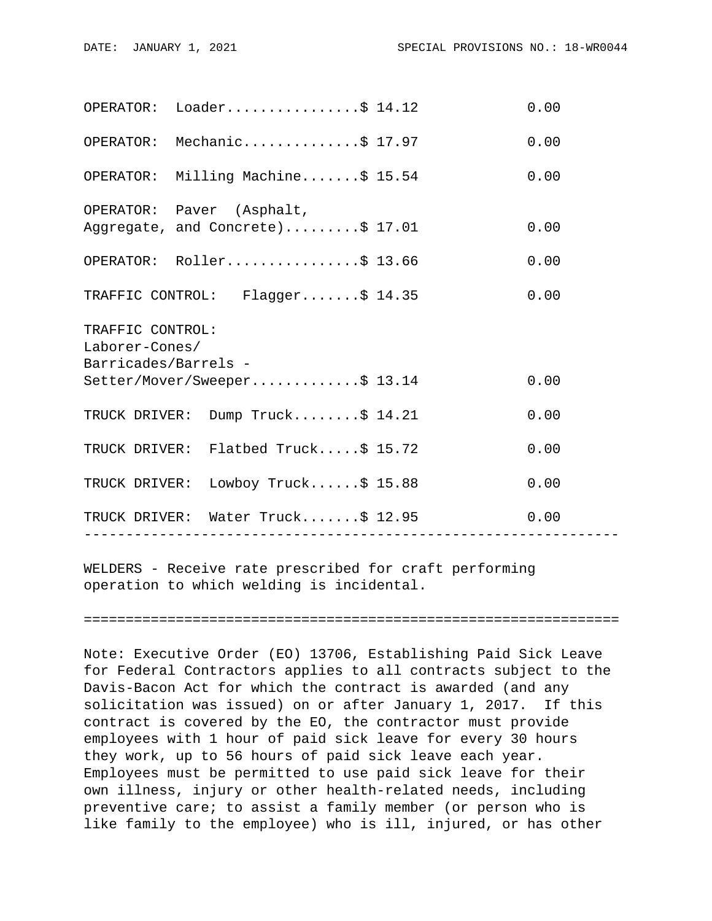|                                                            | OPERATOR: Loader\$ 14.12                                      | 0.00 |
|------------------------------------------------------------|---------------------------------------------------------------|------|
|                                                            | OPERATOR: Mechanic\$ 17.97                                    | 0.00 |
|                                                            | OPERATOR: Milling Machine\$ 15.54                             | 0.00 |
|                                                            | OPERATOR: Paver (Asphalt,<br>Aggregate, and Concrete)\$ 17.01 | 0.00 |
|                                                            | OPERATOR: Roller\$ 13.66                                      | 0.00 |
|                                                            | TRAFFIC CONTROL: Flagger\$ 14.35                              | 0.00 |
| TRAFFIC CONTROL:<br>Laborer-Cones/<br>Barricades/Barrels - | Setter/Mover/Sweeper\$ 13.14                                  | 0.00 |
|                                                            | TRUCK DRIVER: Dump Truck\$ 14.21                              | 0.00 |
|                                                            | TRUCK DRIVER: Flatbed Truck\$ 15.72                           | 0.00 |
|                                                            | TRUCK DRIVER: Lowboy Truck\$ 15.88                            | 0.00 |
|                                                            | TRUCK DRIVER: Water Truck\$ 12.95                             | 0.00 |
|                                                            |                                                               |      |

WELDERS - Receive rate prescribed for craft performing operation to which welding is incidental.

================================================================

Note: Executive Order (EO) 13706, Establishing Paid Sick Leave for Federal Contractors applies to all contracts subject to the Davis-Bacon Act for which the contract is awarded (and any solicitation was issued) on or after January 1, 2017. If this contract is covered by the EO, the contractor must provide employees with 1 hour of paid sick leave for every 30 hours they work, up to 56 hours of paid sick leave each year. Employees must be permitted to use paid sick leave for their own illness, injury or other health-related needs, including preventive care; to assist a family member (or person who is like family to the employee) who is ill, injured, or has other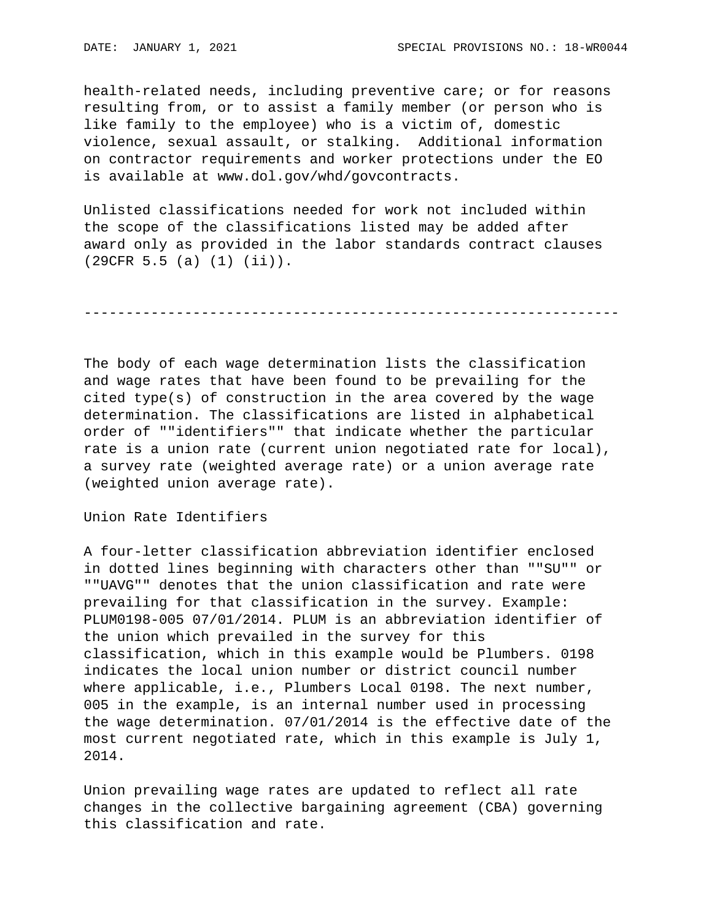health-related needs, including preventive care; or for reasons resulting from, or to assist a family member (or person who is like family to the employee) who is a victim of, domestic violence, sexual assault, or stalking. Additional information on contractor requirements and worker protections under the EO is available at www.dol.gov/whd/govcontracts.

Unlisted classifications needed for work not included within the scope of the classifications listed may be added after award only as provided in the labor standards contract clauses (29CFR 5.5 (a) (1) (ii)).

----------------------------------------------------------------

The body of each wage determination lists the classification and wage rates that have been found to be prevailing for the cited type(s) of construction in the area covered by the wage determination. The classifications are listed in alphabetical order of ""identifiers"" that indicate whether the particular rate is a union rate (current union negotiated rate for local), a survey rate (weighted average rate) or a union average rate (weighted union average rate).

Union Rate Identifiers

A four-letter classification abbreviation identifier enclosed in dotted lines beginning with characters other than ""SU"" or ""UAVG"" denotes that the union classification and rate were prevailing for that classification in the survey. Example: PLUM0198-005 07/01/2014. PLUM is an abbreviation identifier of the union which prevailed in the survey for this classification, which in this example would be Plumbers. 0198 indicates the local union number or district council number where applicable, i.e., Plumbers Local 0198. The next number, 005 in the example, is an internal number used in processing the wage determination. 07/01/2014 is the effective date of the most current negotiated rate, which in this example is July 1, 2014.

Union prevailing wage rates are updated to reflect all rate changes in the collective bargaining agreement (CBA) governing this classification and rate.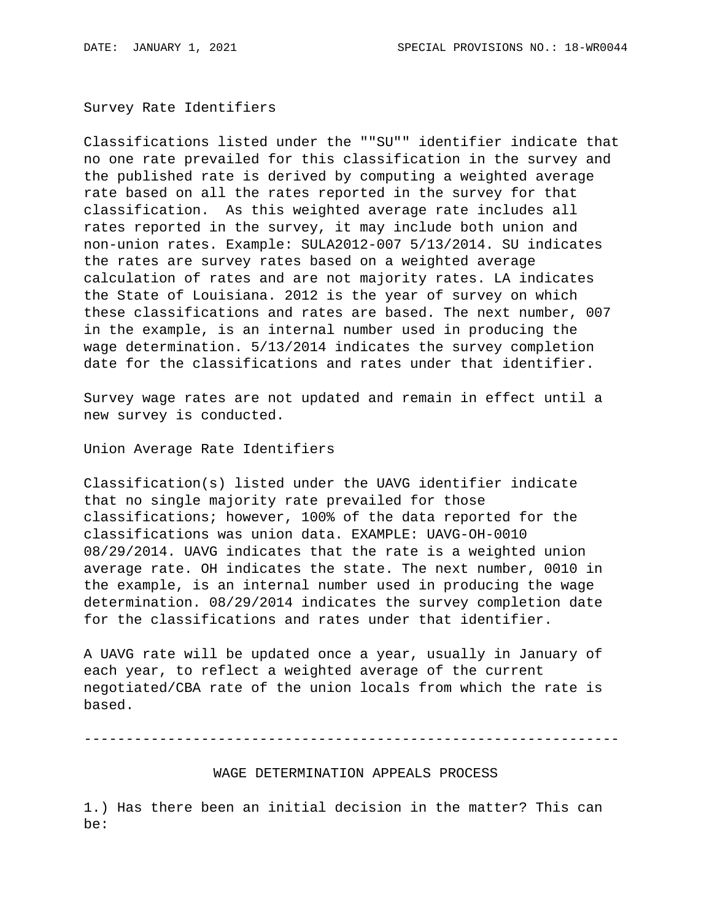Survey Rate Identifiers

Classifications listed under the ""SU"" identifier indicate that no one rate prevailed for this classification in the survey and the published rate is derived by computing a weighted average rate based on all the rates reported in the survey for that classification. As this weighted average rate includes all rates reported in the survey, it may include both union and non-union rates. Example: SULA2012-007 5/13/2014. SU indicates the rates are survey rates based on a weighted average calculation of rates and are not majority rates. LA indicates the State of Louisiana. 2012 is the year of survey on which these classifications and rates are based. The next number, 007 in the example, is an internal number used in producing the wage determination. 5/13/2014 indicates the survey completion date for the classifications and rates under that identifier.

Survey wage rates are not updated and remain in effect until a new survey is conducted.

Union Average Rate Identifiers

Classification(s) listed under the UAVG identifier indicate that no single majority rate prevailed for those classifications; however, 100% of the data reported for the classifications was union data. EXAMPLE: UAVG-OH-0010 08/29/2014. UAVG indicates that the rate is a weighted union average rate. OH indicates the state. The next number, 0010 in the example, is an internal number used in producing the wage determination. 08/29/2014 indicates the survey completion date for the classifications and rates under that identifier.

A UAVG rate will be updated once a year, usually in January of each year, to reflect a weighted average of the current negotiated/CBA rate of the union locals from which the rate is based.

----------------------------------------------------------------

WAGE DETERMINATION APPEALS PROCESS

1.) Has there been an initial decision in the matter? This can be: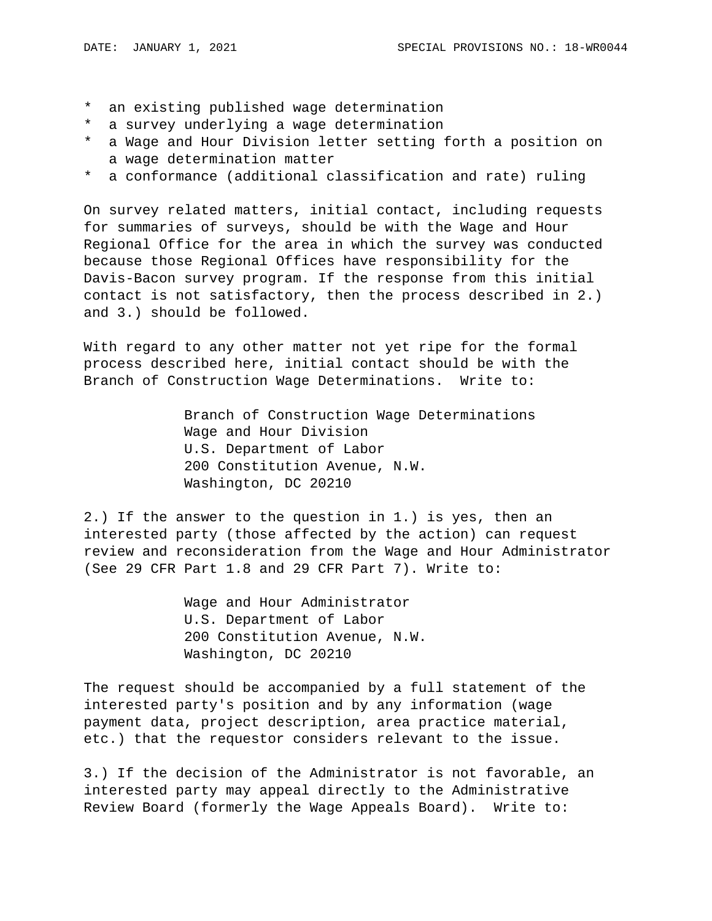- \* an existing published wage determination
- \* a survey underlying a wage determination
- \* a Wage and Hour Division letter setting forth a position on a wage determination matter
- \* a conformance (additional classification and rate) ruling

On survey related matters, initial contact, including requests for summaries of surveys, should be with the Wage and Hour Regional Office for the area in which the survey was conducted because those Regional Offices have responsibility for the Davis-Bacon survey program. If the response from this initial contact is not satisfactory, then the process described in 2.) and 3.) should be followed.

With regard to any other matter not yet ripe for the formal process described here, initial contact should be with the Branch of Construction Wage Determinations. Write to:

> Branch of Construction Wage Determinations Wage and Hour Division U.S. Department of Labor 200 Constitution Avenue, N.W. Washington, DC 20210

2.) If the answer to the question in 1.) is yes, then an interested party (those affected by the action) can request review and reconsideration from the Wage and Hour Administrator (See 29 CFR Part 1.8 and 29 CFR Part 7). Write to:

> Wage and Hour Administrator U.S. Department of Labor 200 Constitution Avenue, N.W. Washington, DC 20210

The request should be accompanied by a full statement of the interested party's position and by any information (wage payment data, project description, area practice material, etc.) that the requestor considers relevant to the issue.

3.) If the decision of the Administrator is not favorable, an interested party may appeal directly to the Administrative Review Board (formerly the Wage Appeals Board). Write to: